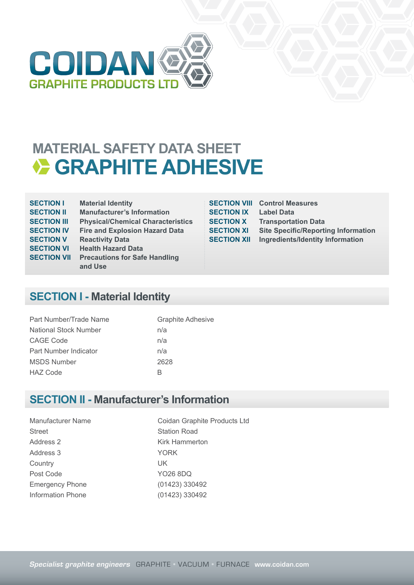

## **MATERIAL SAFETY DATA SHEET GRAPHITE ADHESIVE**

| <b>SECTION I</b>   | <b>Material Identity</b>                 |
|--------------------|------------------------------------------|
| <b>SECTION II</b>  | <b>Manufacturer's Information</b>        |
| <b>SECTION III</b> | <b>Physical/Chemical Characteristics</b> |
| <b>SECTION IV</b>  | <b>Fire and Explosion Hazard Data</b>    |
| <b>SECTION V</b>   | <b>Reactivity Data</b>                   |
| <b>SECTION VI</b>  | <b>Health Hazard Data</b>                |
| <b>SECTION VII</b> | <b>Precautions for Safe Handling</b>     |
|                    | and Use                                  |
|                    |                                          |

| <b>SECTION VIII</b> |
|---------------------|
| <b>SECTION IX</b>   |
| <b>SECTION X</b>    |
| <b>SECTION XI</b>   |
| <b>SECTION XII</b>  |

**Control Measures Label Data Transportation Data Site Specific/Reporting Information Ingredients/Identity Information** 

### **SECTION I - Material Identity**

| Part Number/Trade Name       | <b>Graphite Adhesive</b> |
|------------------------------|--------------------------|
| <b>National Stock Number</b> | n/a                      |
| CAGE Code                    | n/a                      |
| Part Number Indicator        | n/a                      |
| <b>MSDS Number</b>           | 2628                     |
| <b>HAZ Code</b>              | R                        |

#### **SECTION II - Manufacturer's Information**

Street Station Road Address 2 Kirk Hammerton Address 3 YORK Country UK Post Code YO26 8DQ Emergency Phone (01423) 330492 Information Phone (01423) 330492

Manufacturer Name Coidan Graphite Products Ltd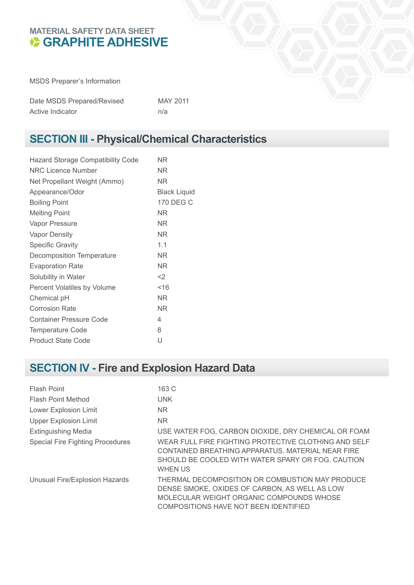#### **MATERIAL SAFETY DATA SHEET GRAPHITE ADHESIVE**

MSDS Preparer's Information

| Date MSDS Prepared/Revised | MAY 2011 |
|----------------------------|----------|
| Active Indicator           | n/a      |

## **SECTION III - Physical/Chemical Characteristics**

| ΝR                  |
|---------------------|
| ΝR                  |
| NR.                 |
| <b>Black Liquid</b> |
| 170 DEG C           |
| ΝR                  |
| ΝR                  |
| NR.                 |
| 1.1                 |
| NR                  |
| ΝR                  |
| $<$ 2               |
| ~16                 |
| NR.                 |
| NR.                 |
| 4                   |
| 8                   |
| U                   |
|                     |

## **SECTION IV - Fire and Explosion Hazard Data**

| Flash Point                             | 163 C                                                                                                                                                                                 |
|-----------------------------------------|---------------------------------------------------------------------------------------------------------------------------------------------------------------------------------------|
| <b>Flash Point Method</b>               | <b>UNK</b>                                                                                                                                                                            |
| <b>Lower Explosion Limit</b>            | N <sub>R</sub>                                                                                                                                                                        |
| <b>Upper Explosion Limit</b>            | N <sub>R</sub>                                                                                                                                                                        |
| <b>Extinguishing Media</b>              | USE WATER FOG, CARBON DIOXIDE, DRY CHEMICAL OR FOAM                                                                                                                                   |
| <b>Special Fire Fighting Procedures</b> | WEAR FULL FIRE FIGHTING PROTECTIVE CLOTHING AND SELF<br>CONTAINED BREATHING APPARATUS, MATERIAL NEAR FIRE<br>SHOULD BE COOLED WITH WATER SPARY OR FOG. CAUTION<br><b>WHEN US</b>      |
| Unusual Fire/Explosion Hazards          | THERMAL DECOMPOSITION OR COMBUSTION MAY PRODUCE<br>DENSE SMOKE, OXIDES OF CARBON, AS WELL AS LOW<br>MOLECULAR WEIGHT ORGANIC COMPOUNDS WHOSE<br>COMPOSITIONS HAVE NOT BEEN IDENTIFIED |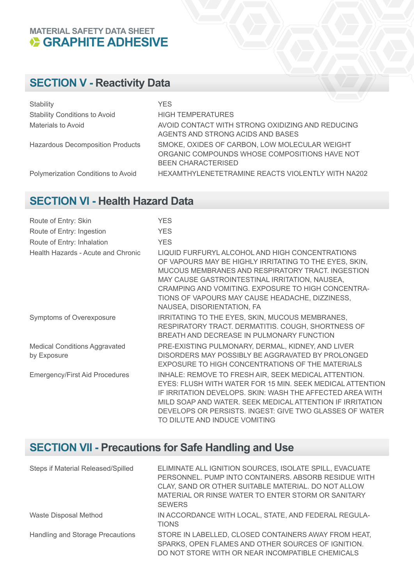## **MATERIAL SAFETY DATA SHEET GRAPHITE ADHESIVE**

## **SECTION V - Reactivity Data**

| Stability                               | <b>YES</b>                                                                                                                  |
|-----------------------------------------|-----------------------------------------------------------------------------------------------------------------------------|
| <b>Stability Conditions to Avoid</b>    | <b>HIGH TEMPERATURES</b>                                                                                                    |
| Materials to Avoid                      | AVOID CONTACT WITH STRONG OXIDIZING AND REDUCING<br>AGENTS AND STRONG ACIDS AND BASES                                       |
| <b>Hazardous Decomposition Products</b> | SMOKE, OXIDES OF CARBON, LOW MOLECULAR WEIGHT<br>ORGANIC COMPOUNDS WHOSE COMPOSITIONS HAVE NOT<br><b>BEEN CHARACTERISED</b> |
| Polymerization Conditions to Avoid      | HEXAMTHYLENETETRAMINE REACTS VIOLENTLY WITH NA202                                                                           |

## **SECTION VI - Health Hazard Data**

| Route of Entry: Skin                                | <b>YES</b>                                                                                                                                                                                                                                                                                                                                              |
|-----------------------------------------------------|---------------------------------------------------------------------------------------------------------------------------------------------------------------------------------------------------------------------------------------------------------------------------------------------------------------------------------------------------------|
| Route of Entry: Ingestion                           | <b>YES</b>                                                                                                                                                                                                                                                                                                                                              |
| Route of Entry: Inhalation                          | <b>YES</b>                                                                                                                                                                                                                                                                                                                                              |
| Health Hazards - Acute and Chronic                  | LIQUID FURFURYL ALCOHOL AND HIGH CONCENTRATIONS<br>OF VAPOURS MAY BE HIGHLY IRRITATING TO THE EYES, SKIN,<br>MUCOUS MEMBRANES AND RESPIRATORY TRACT. INGESTION<br>MAY CAUSE GASTROINTESTINAL IRRITATION, NAUSEA,<br>CRAMPING AND VOMITING. EXPOSURE TO HIGH CONCENTRA-<br>TIONS OF VAPOURS MAY CAUSE HEADACHE, DIZZINESS,<br>NAUSEA, DISORIENTATION, FA |
| Symptoms of Overexposure                            | IRRITATING TO THE EYES, SKIN, MUCOUS MEMBRANES,<br>RESPIRATORY TRACT. DERMATITIS. COUGH, SHORTNESS OF<br>BREATH AND DECREASE IN PULMONARY FUNCTION                                                                                                                                                                                                      |
| <b>Medical Conditions Aggravated</b><br>by Exposure | PRE-EXISTING PULMONARY, DERMAL, KIDNEY, AND LIVER<br>DISORDERS MAY POSSIBLY BE AGGRAVATED BY PROLONGED<br>EXPOSURE TO HIGH CONCENTRATIONS OF THE MATERIALS                                                                                                                                                                                              |
| <b>Emergency/First Aid Procedures</b>               | INHALE: REMOVE TO FRESH AIR, SEEK MEDICAL ATTENTION.<br>EYES: FLUSH WITH WATER FOR 15 MIN, SEEK MEDICAL ATTENTION<br>IF IRRITATION DEVELOPS. SKIN: WASH THE AFFECTED AREA WITH<br>MILD SOAP AND WATER. SEEK MEDICAL ATTENTION IF IRRITATION<br>DEVELOPS OR PERSISTS. INGEST: GIVE TWO GLASSES OF WATER<br>TO DILUTE AND INDUCE VOMITING                 |

## **SECTION VII - Precautions for Safe Handling and Use**

| Steps if Material Released/Spilled | ELIMINATE ALL IGNITION SOURCES, ISOLATE SPILL, EVACUATE<br>PERSONNEL. PUMP INTO CONTAINERS. ABSORB RESIDUE WITH<br>CLAY, SAND OR OTHER SUITABLE MATERIAL. DO NOT ALLOW<br>MATERIAL OR RINSE WATER TO ENTER STORM OR SANITARY<br><b>SEWERS</b> |
|------------------------------------|-----------------------------------------------------------------------------------------------------------------------------------------------------------------------------------------------------------------------------------------------|
| Waste Disposal Method              | IN ACCORDANCE WITH LOCAL, STATE, AND FEDERAL REGULA-<br><b>TIONS</b>                                                                                                                                                                          |
| Handling and Storage Precautions   | STORE IN LABELLED, CLOSED CONTAINERS AWAY FROM HEAT,<br>SPARKS, OPEN FLAMES AND OTHER SOURCES OF IGNITION.<br>DO NOT STORE WITH OR NEAR INCOMPATIBLE CHEMICALS                                                                                |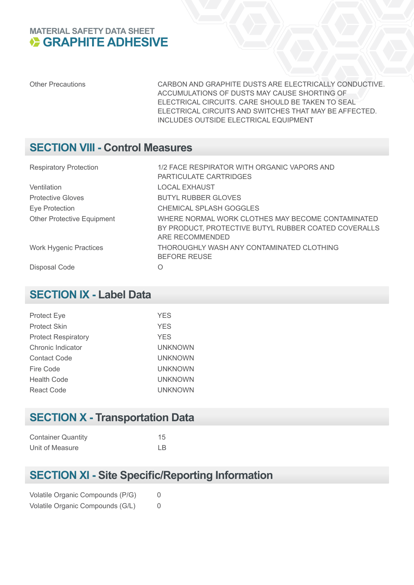#### **MATERIAL SAFETY DATA SHEET GRAPHITE ADHESIVE**

Other Precautions CARBON AND GRAPHITE DUSTS ARE ELECTRICALLY CONDUCTIVE. ACCUMULATIONS OF DUSTS MAY CAUSE SHORTING OF ELECTRICAL CIRCUITS. CARE SHOULD BE TAKEN TO SEAL ELECTRICAL CIRCUITS AND SWITCHES THAT MAY BE AFFECTED. INCLUDES OUTSIDE ELECTRICAL EQUIPMENT

#### **SECTION VIII - Control Measures**

| <b>Respiratory Protection</b>     | 1/2 FACE RESPIRATOR WITH ORGANIC VAPORS AND<br>PARTICULATE CARTRIDGES                                                        |
|-----------------------------------|------------------------------------------------------------------------------------------------------------------------------|
| Ventilation                       | <b>LOCAL EXHAUST</b>                                                                                                         |
| <b>Protective Gloves</b>          | <b>BUTYL RUBBER GLOVES</b>                                                                                                   |
| Eye Protection                    | CHEMICAL SPLASH GOGGLES                                                                                                      |
| <b>Other Protective Equipment</b> | WHERE NORMAL WORK CLOTHES MAY BECOME CONTAMINATED<br>BY PRODUCT, PROTECTIVE BUTYL RUBBER COATED COVERALLS<br>ARE RECOMMENDED |
| <b>Work Hygenic Practices</b>     | THOROUGHLY WASH ANY CONTAMINATED CLOTHING<br><b>BEFORE REUSE</b>                                                             |
| Disposal Code                     | Ω                                                                                                                            |

#### **SECTION IX - Label Data**

| <b>Protect Eye</b>         | <b>YES</b>     |
|----------------------------|----------------|
| <b>Protect Skin</b>        | <b>YES</b>     |
| <b>Protect Respiratory</b> | <b>YES</b>     |
| Chronic Indicator          | <b>UNKNOWN</b> |
| <b>Contact Code</b>        | <b>UNKNOWN</b> |
| Fire Code                  | UNKNOWN        |
| <b>Health Code</b>         | UNKNOWN        |
| React Code                 | UNKNOWN        |
|                            |                |

## **SECTION X - Transportation Data**

| <b>Container Quantity</b> | 15  |
|---------------------------|-----|
| Unit of Measure           | I B |

## **SECTION XI - Site Specific/Reporting Information**

|  | Volatile Organic Compounds (P/G) | 0 |
|--|----------------------------------|---|
|  | Volatile Organic Compounds (G/L) | 0 |